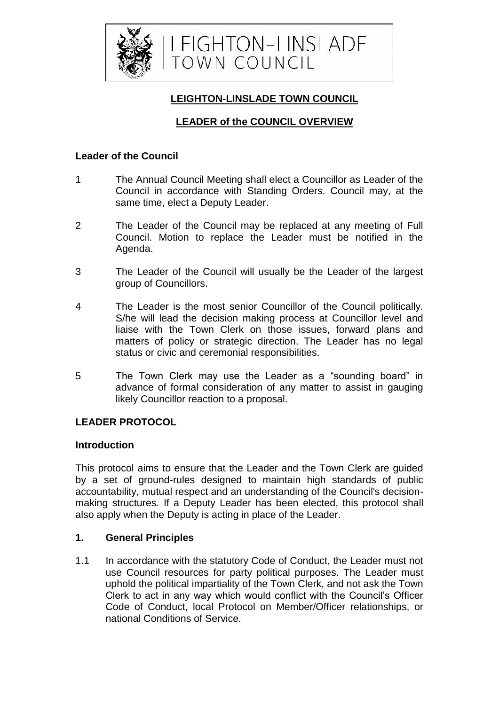

## **LEIGHTON-LINSLADE TOWN COUNCIL**

# **LEADER of the COUNCIL OVERVIEW**

## **Leader of the Council**

- 1 The Annual Council Meeting shall elect a Councillor as Leader of the Council in accordance with Standing Orders. Council may, at the same time, elect a Deputy Leader.
- 2 The Leader of the Council may be replaced at any meeting of Full Council. Motion to replace the Leader must be notified in the Agenda.
- 3 The Leader of the Council will usually be the Leader of the largest group of Councillors.
- 4 The Leader is the most senior Councillor of the Council politically. S/he will lead the decision making process at Councillor level and liaise with the Town Clerk on those issues, forward plans and matters of policy or strategic direction. The Leader has no legal status or civic and ceremonial responsibilities.
- 5 The Town Clerk may use the Leader as a "sounding board" in advance of formal consideration of any matter to assist in gauging likely Councillor reaction to a proposal.

## **LEADER PROTOCOL**

#### **Introduction**

This protocol aims to ensure that the Leader and the Town Clerk are guided by a set of ground-rules designed to maintain high standards of public accountability, mutual respect and an understanding of the Council's decisionmaking structures. If a Deputy Leader has been elected, this protocol shall also apply when the Deputy is acting in place of the Leader.

## **1. General Principles**

1.1 In accordance with the statutory Code of Conduct, the Leader must not use Council resources for party political purposes. The Leader must uphold the political impartiality of the Town Clerk, and not ask the Town Clerk to act in any way which would conflict with the Council's Officer Code of Conduct, local Protocol on Member/Officer relationships, or national Conditions of Service.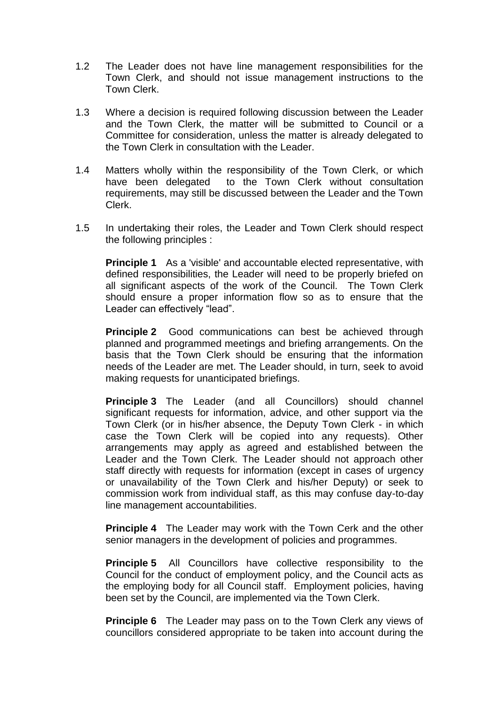- 1.2 The Leader does not have line management responsibilities for the Town Clerk, and should not issue management instructions to the Town Clerk.
- 1.3 Where a decision is required following discussion between the Leader and the Town Clerk, the matter will be submitted to Council or a Committee for consideration, unless the matter is already delegated to the Town Clerk in consultation with the Leader.
- 1.4 Matters wholly within the responsibility of the Town Clerk, or which have been delegated to the Town Clerk without consultation requirements, may still be discussed between the Leader and the Town Clerk.
- 1.5 In undertaking their roles, the Leader and Town Clerk should respect the following principles :

**Principle 1** As a 'visible' and accountable elected representative, with defined responsibilities, the Leader will need to be properly briefed on all significant aspects of the work of the Council. The Town Clerk should ensure a proper information flow so as to ensure that the Leader can effectively "lead".

**Principle 2** Good communications can best be achieved through planned and programmed meetings and briefing arrangements. On the basis that the Town Clerk should be ensuring that the information needs of the Leader are met. The Leader should, in turn, seek to avoid making requests for unanticipated briefings.

**Principle 3** The Leader (and all Councillors) should channel significant requests for information, advice, and other support via the Town Clerk (or in his/her absence, the Deputy Town Clerk - in which case the Town Clerk will be copied into any requests). Other arrangements may apply as agreed and established between the Leader and the Town Clerk. The Leader should not approach other staff directly with requests for information (except in cases of urgency or unavailability of the Town Clerk and his/her Deputy) or seek to commission work from individual staff, as this may confuse day-to-day line management accountabilities.

**Principle 4** The Leader may work with the Town Cerk and the other senior managers in the development of policies and programmes.

**Principle 5** All Councillors have collective responsibility to the Council for the conduct of employment policy, and the Council acts as the employing body for all Council staff. Employment policies, having been set by the Council, are implemented via the Town Clerk.

**Principle 6** The Leader may pass on to the Town Clerk any views of councillors considered appropriate to be taken into account during the